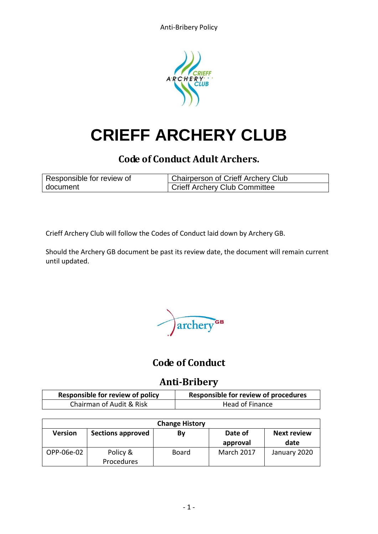

# **CRIEFF ARCHERY CLUB**

# **Code of Conduct Adult Archers.**

| Responsible for review of | Chairperson of Crieff Archery Club |  |
|---------------------------|------------------------------------|--|
| document                  | Crieff Archery Club Committee      |  |

Crieff Archery Club will follow the Codes of Conduct laid down by Archery GB.

Should the Archery GB document be past its review date, the document will remain current until updated.

archery<sup>GB</sup>

## **Code of Conduct**

### **Anti-Bribery**

| <b>Responsible for review of policy</b> | Responsible for review of procedures |
|-----------------------------------------|--------------------------------------|
| Chairman of Audit & Risk                | Head of Finance                      |

| <b>Change History</b> |                          |              |            |                    |  |  |
|-----------------------|--------------------------|--------------|------------|--------------------|--|--|
| <b>Version</b>        | <b>Sections approved</b> | Bν           | Date of    | <b>Next review</b> |  |  |
|                       |                          |              | approval   | date               |  |  |
| OPP-06e-02            | Policy &                 | <b>Board</b> | March 2017 | January 2020       |  |  |
|                       | Procedures               |              |            |                    |  |  |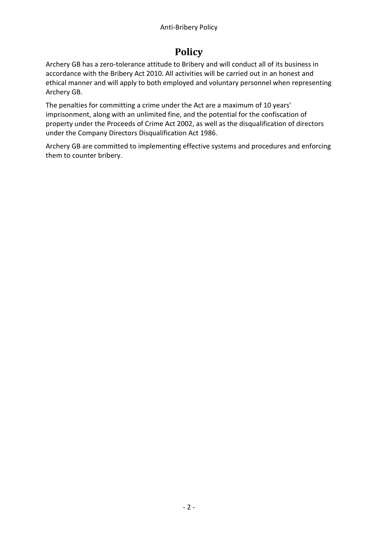# **Policy**

Archery GB has a zero-tolerance attitude to Bribery and will conduct all of its business in accordance with the Bribery Act 2010. All activities will be carried out in an honest and ethical manner and will apply to both employed and voluntary personnel when representing Archery GB.

The penalties for committing a crime under the Act are a maximum of 10 years' imprisonment, along with an unlimited fine, and the potential for the confiscation of property under the [Proceeds of Crime Act 2002,](https://en.wikipedia.org/wiki/Proceeds_of_Crime_Act_2002) as well as the disqualification of directors under the [Company Directors Disqualification Act 1986.](https://en.wikipedia.org/wiki/Company_Directors_Disqualification_Act_1986)

Archery GB are committed to implementing effective systems and procedures and enforcing them to counter bribery.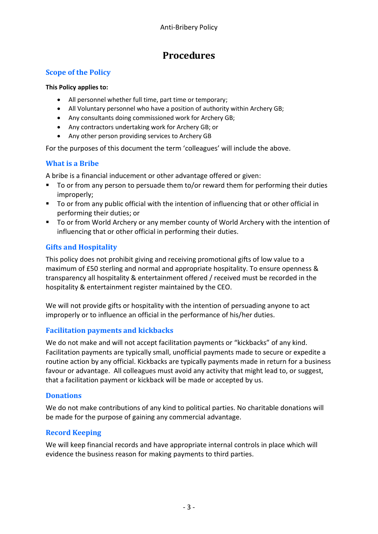### **Procedures**

#### **Scope of the Policy**

#### **This Policy applies to:**

- All personnel whether full time, part time or temporary;
- All Voluntary personnel who have a position of authority within Archery GB;
- Any consultants doing commissioned work for Archery GB;
- Any contractors undertaking work for Archery GB; or
- Any other person providing services to Archery GB

For the purposes of this document the term 'colleagues' will include the above.

#### **What is a Bribe**

A bribe is a financial inducement or other advantage offered or given:

- To or from any person to persuade them to/or reward them for performing their duties improperly;
- To or from any public official with the intention of influencing that or other official in performing their duties; or
- To or from World Archery or any member county of World Archery with the intention of influencing that or other official in performing their duties.

#### **Gifts and Hospitality**

This policy does not prohibit giving and receiving promotional gifts of low value to a maximum of £50 sterling and normal and appropriate hospitality. To ensure openness & transparency all hospitality & entertainment offered / received must be recorded in the hospitality & entertainment register maintained by the CEO.

We will not provide gifts or hospitality with the intention of persuading anyone to act improperly or to influence an official in the performance of his/her duties.

#### **Facilitation payments and kickbacks**

We do not make and will not accept facilitation payments or "kickbacks" of any kind. Facilitation payments are typically small, unofficial payments made to secure or expedite a routine action by any official. Kickbacks are typically payments made in return for a business favour or advantage. All colleagues must avoid any activity that might lead to, or suggest, that a facilitation payment or kickback will be made or accepted by us.

#### **Donations**

We do not make contributions of any kind to political parties. No charitable donations will be made for the purpose of gaining any commercial advantage.

#### **Record Keeping**

We will keep financial records and have appropriate internal controls in place which will evidence the business reason for making payments to third parties.